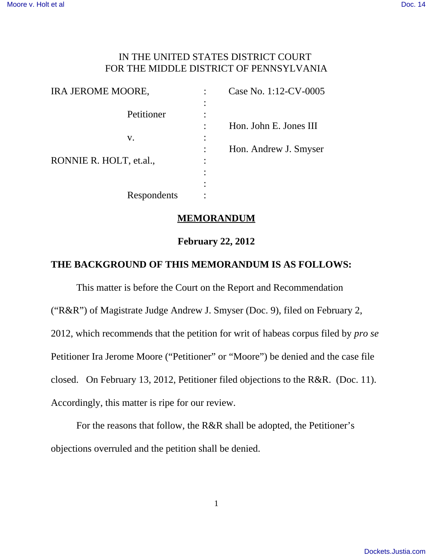# IN THE UNITED STATES DISTRICT COURT FOR THE MIDDLE DISTRICT OF PENNSYLVANIA

| <b>IRA JEROME MOORE,</b> | Case No. 1:12-CV-0005  |
|--------------------------|------------------------|
|                          |                        |
| Petitioner               |                        |
|                          | Hon. John E. Jones III |
| V.                       |                        |
|                          | Hon. Andrew J. Smyser  |
| RONNIE R. HOLT, et.al.,  |                        |
|                          |                        |
|                          |                        |
| Respondents              |                        |

### **MEMORANDUM**

## **February 22, 2012**

# **THE BACKGROUND OF THIS MEMORANDUM IS AS FOLLOWS:**

This matter is before the Court on the Report and Recommendation ("R&R") of Magistrate Judge Andrew J. Smyser (Doc. 9), filed on February 2, 2012, which recommends that the petition for writ of habeas corpus filed by *pro se* Petitioner Ira Jerome Moore ("Petitioner" or "Moore") be denied and the case file closed. On February 13, 2012, Petitioner filed objections to the R&R. (Doc. 11). Accordingly, this matter is ripe for our review.

For the reasons that follow, the R&R shall be adopted, the Petitioner's objections overruled and the petition shall be denied.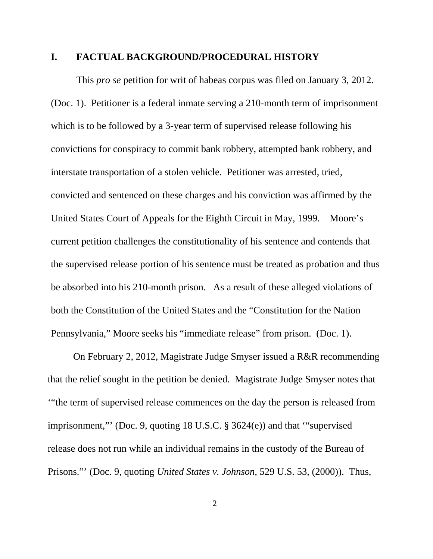#### **I. FACTUAL BACKGROUND/PROCEDURAL HISTORY**

This *pro se* petition for writ of habeas corpus was filed on January 3, 2012. (Doc. 1). Petitioner is a federal inmate serving a 210-month term of imprisonment which is to be followed by a 3-year term of supervised release following his convictions for conspiracy to commit bank robbery, attempted bank robbery, and interstate transportation of a stolen vehicle. Petitioner was arrested, tried, convicted and sentenced on these charges and his conviction was affirmed by the United States Court of Appeals for the Eighth Circuit in May, 1999. Moore's current petition challenges the constitutionality of his sentence and contends that the supervised release portion of his sentence must be treated as probation and thus be absorbed into his 210-month prison. As a result of these alleged violations of both the Constitution of the United States and the "Constitution for the Nation Pennsylvania," Moore seeks his "immediate release" from prison. (Doc. 1).

On February 2, 2012, Magistrate Judge Smyser issued a R&R recommending that the relief sought in the petition be denied. Magistrate Judge Smyser notes that '"the term of supervised release commences on the day the person is released from imprisonment,"' (Doc. 9, quoting 18 U.S.C. § 3624(e)) and that '"supervised release does not run while an individual remains in the custody of the Bureau of Prisons."' (Doc. 9, quoting *United States v. Johnson,* 529 U.S. 53, (2000)). Thus,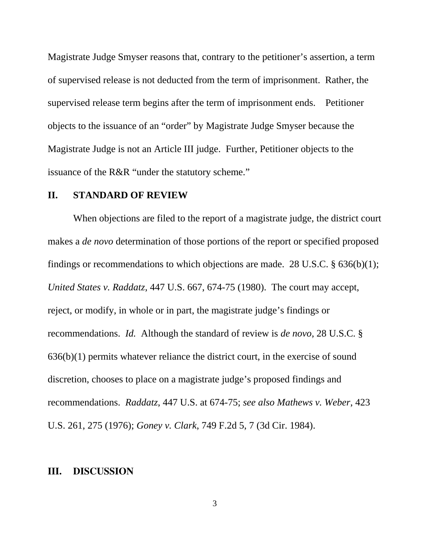Magistrate Judge Smyser reasons that, contrary to the petitioner's assertion, a term of supervised release is not deducted from the term of imprisonment. Rather, the supervised release term begins after the term of imprisonment ends. Petitioner objects to the issuance of an "order" by Magistrate Judge Smyser because the Magistrate Judge is not an Article III judge. Further, Petitioner objects to the issuance of the R&R "under the statutory scheme."

## **II. STANDARD OF REVIEW**

When objections are filed to the report of a magistrate judge, the district court makes a *de novo* determination of those portions of the report or specified proposed findings or recommendations to which objections are made. 28 U.S.C.  $\S$  636(b)(1); *United States v. Raddatz*, 447 U.S. 667, 674-75 (1980). The court may accept, reject, or modify, in whole or in part, the magistrate judge's findings or recommendations. *Id.* Although the standard of review is *de novo*, 28 U.S.C. § 636(b)(1) permits whatever reliance the district court, in the exercise of sound discretion, chooses to place on a magistrate judge's proposed findings and recommendations. *Raddatz*, 447 U.S. at 674-75; *see also Mathews v. Weber*, 423 U.S. 261, 275 (1976); *Goney v. Clark*, 749 F.2d 5, 7 (3d Cir. 1984).

#### **III. DISCUSSION**